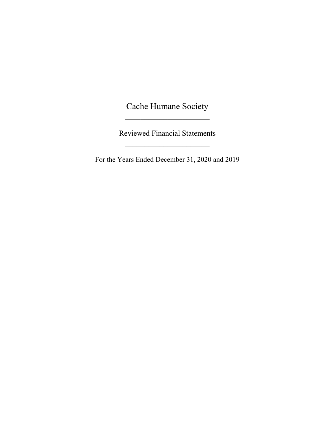Cache Humane Society **\_\_\_\_\_\_\_\_\_\_\_\_\_\_\_\_\_\_\_\_\_\_**

Reviewed Financial Statements **\_\_\_\_\_\_\_\_\_\_\_\_\_\_\_\_\_\_\_\_\_\_**

For the Years Ended December 31, 2020 and 2019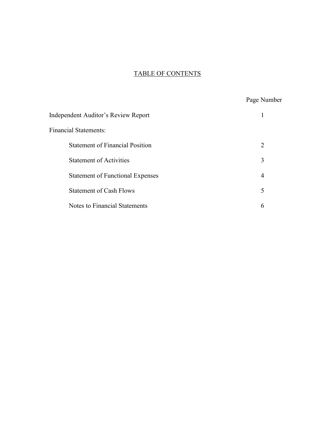# TABLE OF CONTENTS

|                                         | Page Number    |
|-----------------------------------------|----------------|
| Independent Auditor's Review Report     |                |
| <b>Financial Statements:</b>            |                |
| <b>Statement of Financial Position</b>  | 2              |
| <b>Statement of Activities</b>          | 3              |
| <b>Statement of Functional Expenses</b> | $\overline{4}$ |
| <b>Statement of Cash Flows</b>          | 5              |
| Notes to Financial Statements           | 6              |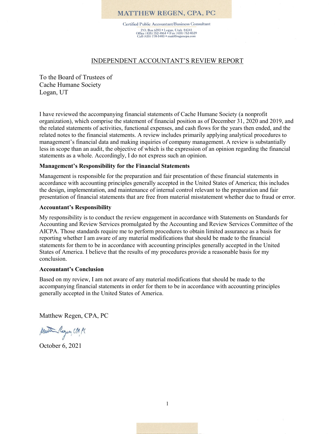#### **MATTHEW REGEN, CPA, PC**

Certified Public Accountant/Business Consultant P.O. Box 6393 • Logan, Utah 84341<br>Office (435) 752-4864 • Fax (435) 752-0329<br>Cell (435) 770-5403 • matt@regencpa.com

#### INDEPENDENT ACCOUNTANT'S REVIEW REPORT

To the Board of Trustees of Cache Humane Society Logan, UT

I have reviewed the accompanying financial statements of Cache Humane Society (a nonprofit organization), which comprise the statement of financial position as of December 31, 2020 and 2019, and the related statements of activities, functional expenses, and cash flows for the years then ended, and the related notes to the financial statements. A review includes primarily applying analytical procedures to management's financial data and making inquiries of company management. A review is substantially less in scope than an audit, the objective of which is the expression of an opinion regarding the financial statements as a whole. Accordingly, I do not express such an opinion.

#### **Management's Responsibility for the Financial Statements**

Management is responsible for the preparation and fair presentation of these financial statements in accordance with accounting principles generally accepted in the United States of America; this includes the design, implementation, and maintenance of internal control relevant to the preparation and fair presentation of financial statements that are free from material misstatement whether due to fraud or error.

#### **Accountant's Responsibility**

My responsibility is to conduct the review engagement in accordance with Statements on Standards for Accounting and Review Services promulgated by the Accounting and Review Services Committee of the AICPA. Those standards require me to perform procedures to obtain limited assurance as a basis for reporting whether I am aware of any material modifications that should be made to the financial statements for them to be in accordance with accounting principles generally accepted in the United States of America. I believe that the results of my procedures provide a reasonable basis for my conclusion.

#### **Accountant's Conclusion**

Based on my review, I am not aware of any material modifications that should be made to the accompanying financial statements in order for them to be in accordance with accounting principles generally accepted in the United States of America.

Matthew Regen, CPA, PC

Matte Regen CPA PC

October 6, 2021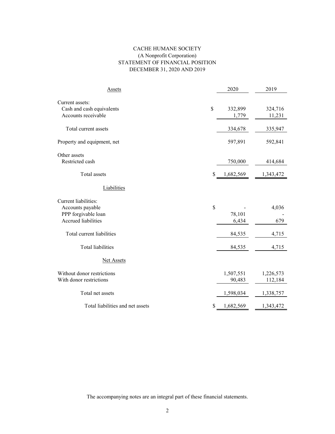#### CACHE HUMANE SOCIETY (A Nonprofit Corporation) STATEMENT OF FINANCIAL POSITION DECEMBER 31, 2020 AND 2019

| Assets                           |    | 2020      | 2019      |
|----------------------------------|----|-----------|-----------|
| Current assets:                  |    |           |           |
| Cash and cash equivalents        | \$ | 332,899   | 324,716   |
| Accounts receivable              |    | 1,779     | 11,231    |
| Total current assets             |    | 334,678   | 335,947   |
| Property and equipment, net      |    | 597,891   | 592,841   |
| Other assets                     |    |           |           |
| Restricted cash                  |    | 750,000   | 414,684   |
| Total assets                     | S  | 1,682,569 | 1,343,472 |
| Liabilities                      |    |           |           |
| Current liabilities:             |    |           |           |
| Accounts payable                 | \$ |           | 4,036     |
| PPP forgivable loan              |    | 78,101    |           |
| Accrued liabilities              |    | 6,434     | 679       |
| Total current liabilities        |    | 84,535    | 4,715     |
| <b>Total liabilities</b>         |    | 84,535    | 4,715     |
| <b>Net Assets</b>                |    |           |           |
| Without donor restrictions       |    | 1,507,551 | 1,226,573 |
| With donor restrictions          |    | 90,483    | 112,184   |
| Total net assets                 |    | 1,598,034 | 1,338,757 |
| Total liabilities and net assets | S  | 1,682,569 | 1,343,472 |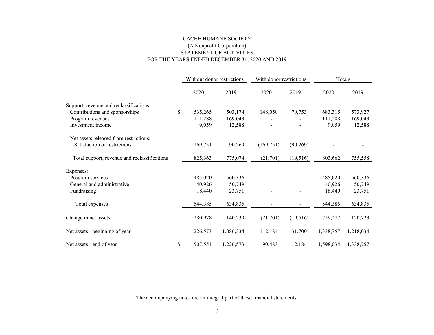#### FOR THE YEARS ENDED DECEMBER 31, 2020 AND 2019 CACHE HUMANE SOCIETY STATEMENT OF ACTIVITIES (A Nonprofit Corporation)

|                                              | Without donor restrictions |           | With donor restrictions |                          | Totals    |           |
|----------------------------------------------|----------------------------|-----------|-------------------------|--------------------------|-----------|-----------|
|                                              | 2020                       | 2019      | 2020                    | 2019                     | 2020      | 2019      |
| Support, revenue and reclassifications:      |                            |           |                         |                          |           |           |
| Contributions and sponsorships               | \$<br>535,265              | 503,174   | 148,050                 | 70,753                   | 683,315   | 573,927   |
| Program revenues                             | 111,288                    | 169,043   |                         |                          | 111,288   | 169,043   |
| Investment income                            | 9,059                      | 12,588    |                         |                          | 9,059     | 12,588    |
| Net assets released from restrictions:       |                            |           |                         |                          |           |           |
| Satisfaction of restrictions                 | 169,751                    | 90,269    | (169, 751)              | (90, 269)                |           |           |
| Total support, revenue and reclassifications | 825,363                    | 775,074   | (21,701)                | (19,516)                 | 803,662   | 755,558   |
| Expenses:                                    |                            |           |                         |                          |           |           |
| Program services                             | 485,020                    | 560,336   |                         |                          | 485,020   | 560,336   |
| General and administrative                   | 40,926                     | 50,749    |                         |                          | 40,926    | 50,749    |
| Fundraising                                  | 18,440                     | 23,751    |                         |                          | 18,440    | 23,751    |
| Total expenses                               | 544,385                    | 634,835   |                         | $\overline{\phantom{a}}$ | 544,385   | 634,835   |
| Change in net assets                         | 280,978                    | 140,239   | (21,701)                | (19,516)                 | 259,277   | 120,723   |
| Net assets - beginning of year               | 1,226,573                  | 1,086,334 | 112,184                 | 131,700                  | 1,338,757 | 1,218,034 |
| Net assets - end of year                     | \$<br>1,507,551            | 1,226,573 | 90,483                  | 112,184                  | 1,598,034 | 1,338,757 |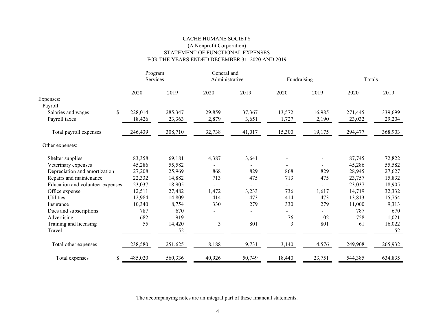#### CACHE HUMANE SOCIETY STATEMENT OF FUNCTIONAL EXPENSES FOR THE YEARS ENDED DECEMBER 31, 2020 AND 2019 (A Nonprofit Corporation)

|                                  | Program<br>Services |         | General and<br>Administrative |        | Fundraising |                          | Totals  |         |
|----------------------------------|---------------------|---------|-------------------------------|--------|-------------|--------------------------|---------|---------|
|                                  | 2020                | 2019    | 2020                          | 2019   | 2020        | 2019                     | 2020    | 2019    |
| Expenses:                        |                     |         |                               |        |             |                          |         |         |
| Payroll:                         |                     |         |                               |        |             |                          |         |         |
| \$<br>Salaries and wages         | 228,014             | 285,347 | 29,859                        | 37,367 | 13,572      | 16,985                   | 271,445 | 339,699 |
| Payroll taxes                    | 18,426              | 23,363  | 2,879                         | 3,651  | 1,727       | 2,190                    | 23,032  | 29,204  |
| Total payroll expenses           | 246,439             | 308,710 | 32,738                        | 41,017 | 15,300      | 19,175                   | 294,477 | 368,903 |
| Other expenses:                  |                     |         |                               |        |             |                          |         |         |
| Shelter supplies                 | 83,358              | 69,181  | 4,387                         | 3,641  |             | $\overline{\phantom{a}}$ | 87,745  | 72,822  |
| Veterinary expenses              | 45,286              | 55,582  |                               |        |             |                          | 45,286  | 55,582  |
| Depreciation and amortization    | 27,208              | 25,969  | 868                           | 829    | 868         | 829                      | 28,945  | 27,627  |
| Repairs and maintenance          | 22,332              | 14,882  | 713                           | 475    | 713         | 475                      | 23,757  | 15,832  |
| Education and volunteer expenses | 23,037              | 18,905  |                               |        | Ξ.          |                          | 23,037  | 18,905  |
| Office expense                   | 12,511              | 27,482  | 1,472                         | 3,233  | 736         | 1,617                    | 14,719  | 32,332  |
| <b>Utilities</b>                 | 12,984              | 14,809  | 414                           | 473    | 414         | 473                      | 13,813  | 15,754  |
| Insurance                        | 10,340              | 8,754   | 330                           | 279    | 330         | 279                      | 11,000  | 9,313   |
| Dues and subscriptions           | 787                 | 670     | $\blacksquare$                |        |             |                          | 787     | 670     |
| Advertising                      | 682                 | 919     | $\blacksquare$                |        | 76          | 102                      | 758     | 1,021   |
| Training and licensing           | 55                  | 14,420  | 3                             | 801    | 3           | 801                      | 61      | 16,022  |
| Travel                           |                     | 52      |                               |        |             |                          |         | 52      |
| Total other expenses             | 238,580             | 251,625 | 8,188                         | 9,731  | 3,140       | 4,576                    | 249,908 | 265,932 |
| \$<br>Total expenses             | 485,020             | 560,336 | 40,926                        | 50,749 | 18,440      | 23,751                   | 544,385 | 634,835 |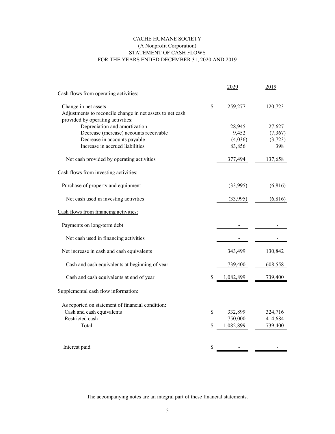#### CACHE HUMANE SOCIETY (A Nonprofit Corporation) STATEMENT OF CASH FLOWS FOR THE YEARS ENDED DECEMBER 31, 2020 AND 2019

|                                                           | 2020            | 2019     |
|-----------------------------------------------------------|-----------------|----------|
| Cash flows from operating activities:                     |                 |          |
| Change in net assets                                      | \$<br>259,277   | 120,723  |
| Adjustments to reconcile change in net assets to net cash |                 |          |
| provided by operating activities:                         |                 |          |
| Depreciation and amortization                             | 28,945          | 27,627   |
| Decrease (increase) accounts receivable                   | 9,452           | (7, 367) |
| Decrease in accounts payable                              | (4,036)         | (3,723)  |
| Increase in accrued liabilities                           | 83,856          | 398      |
| Net cash provided by operating activities                 | 377,494         | 137,658  |
| Cash flows from investing activities:                     |                 |          |
| Purchase of property and equipment                        | (33,995)        | (6,816)  |
| Net cash used in investing activities                     | (33,995)        | (6, 816) |
| Cash flows from financing activities:                     |                 |          |
| Payments on long-term debt                                |                 |          |
| Net cash used in financing activities                     |                 |          |
| Net increase in cash and cash equivalents                 | 343,499         | 130,842  |
| Cash and cash equivalents at beginning of year            | 739,400         | 608,558  |
| Cash and cash equivalents at end of year                  | \$<br>1,082,899 | 739,400  |
| Supplemental cash flow information:                       |                 |          |
| As reported on statement of financial condition:          |                 |          |
| Cash and cash equivalents                                 | \$<br>332,899   | 324,716  |
| Restricted cash                                           | 750,000         | 414,684  |
| Total                                                     | \$<br>1,082,899 | 739,400  |
|                                                           |                 |          |
| Interest paid                                             | \$              |          |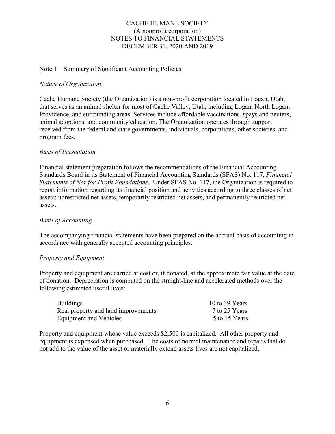# CACHE HUMANE SOCIETY (A nonprofit corporation) NOTES TO FINANCIAL STATEMENTS DECEMBER 31, 2020 AND 2019

### Note 1 – Summary of Significant Accounting Policies

### *Nature of Organization*

Cache Humane Society (the Organization) is a non-profit corporation located in Logan, Utah, that serves as an animal shelter for most of Cache Valley, Utah, including Logan, North Logan, Providence, and surrounding areas. Services include affordable vaccinations, spays and neuters, animal adoptions, and community education. The Organization operates through support received from the federal and state governments, individuals, corporations, other societies, and program fees.

### *Basis of Presentation*

Financial statement preparation follows the recommendations of the Financial Accounting Standards Board in its Statement of Financial Accounting Standards (SFAS) No. 117, *Financial Statements of Not-for-Profit Foundations*. Under SFAS No. 117, the Organization is required to report information regarding its financial position and activities according to three classes of net assets: unrestricted net assets, temporarily restricted net assets, and permanently restricted net assets.

# *Basis of Accounting*

The accompanying financial statements have been prepared on the accrual basis of accounting in accordance with generally accepted accounting principles.

#### *Property and Equipment*

Property and equipment are carried at cost or, if donated, at the approximate fair value at the date of donation. Depreciation is computed on the straight-line and accelerated methods over the following estimated useful lives:

| <b>Buildings</b>                    | 10 to 39 Years |
|-------------------------------------|----------------|
| Real property and land improvements | 7 to 25 Years  |
| Equipment and Vehicles              | 5 to 15 Years  |

Property and equipment whose value exceeds \$2,500 is capitalized. All other property and equipment is expensed when purchased. The costs of normal maintenance and repairs that do not add to the value of the asset or materially extend assets lives are not capitalized.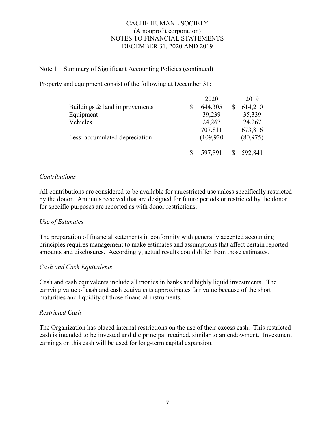# CACHE HUMANE SOCIETY (A nonprofit corporation) NOTES TO FINANCIAL STATEMENTS DECEMBER 31, 2020 AND 2019

# Note 1 – Summary of Significant Accounting Policies (continued)

Property and equipment consist of the following at December 31:

|                                | 2020       | 2019      |
|--------------------------------|------------|-----------|
| Buildings & land improvements  | 644,305    | 614,210   |
| Equipment                      | 39,239     | 35,339    |
| Vehicles                       | 24,267     | 24,267    |
|                                | 707,811    | 673,816   |
| Less: accumulated depreciation | (109, 920) | (80, 975) |
|                                |            |           |
|                                | 597,891    | 592,841   |

#### *Contributions*

All contributions are considered to be available for unrestricted use unless specifically restricted by the donor. Amounts received that are designed for future periods or restricted by the donor for specific purposes are reported as with donor restrictions.

#### *Use of Estimates*

The preparation of financial statements in conformity with generally accepted accounting principles requires management to make estimates and assumptions that affect certain reported amounts and disclosures. Accordingly, actual results could differ from those estimates.

#### *Cash and Cash Equivalents*

Cash and cash equivalents include all monies in banks and highly liquid investments. The carrying value of cash and cash equivalents approximates fair value because of the short maturities and liquidity of those financial instruments.

#### *Restricted Cash*

The Organization has placed internal restrictions on the use of their excess cash. This restricted cash is intended to be invested and the principal retained, similar to an endowment. Investment earnings on this cash will be used for long-term capital expansion.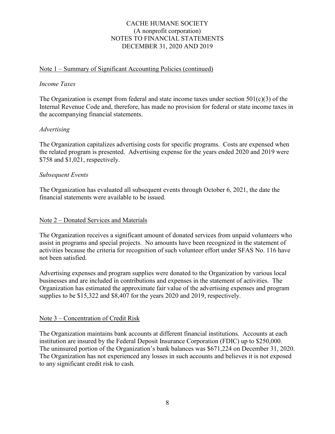# CACHE HUMANE SOCIETY (A nonprofit corporation) NOTES TO FINANCIAL STATEMENTS DECEMBER 31, 2020 AND 2019

# Note 1 – Summary of Significant Accounting Policies (continued)

#### *Income Taxes*

The Organization is exempt from federal and state income taxes under section  $501(c)(3)$  of the Internal Revenue Code and, therefore, has made no provision for federal or state income taxes in the accompanying financial statements.

#### *Advertising*

The Organization capitalizes advertising costs for specific programs. Costs are expensed when the related program is presented. Advertising expense for the years ended 2020 and 2019 were \$758 and \$1,021, respectively.

#### *Subsequent Events*

The Organization has evaluated all subsequent events through October 6, 2021, the date the financial statements were available to be issued.

#### Note 2 – Donated Services and Materials

The Organization receives a significant amount of donated services from unpaid volunteers who assist in programs and special projects. No amounts have been recognized in the statement of activities because the criteria for recognition of such volunteer effort under SFAS No. 116 have not been satisfied.

Advertising expenses and program supplies were donated to the Organization by various local businesses and are included in contributions and expenses in the statement of activities. The Organization has estimated the approximate fair value of the advertising expenses and program supplies to be \$15,322 and \$8,407 for the years 2020 and 2019, respectively.

#### Note 3 – Concentration of Credit Risk

The Organization maintains bank accounts at different financial institutions. Accounts at each institution are insured by the Federal Deposit Insurance Corporation (FDIC) up to \$250,000. The uninsured portion of the Organization's bank balances was \$671,224 on December 31, 2020. The Organization has not experienced any losses in such accounts and believes it is not exposed to any significant credit risk to cash.